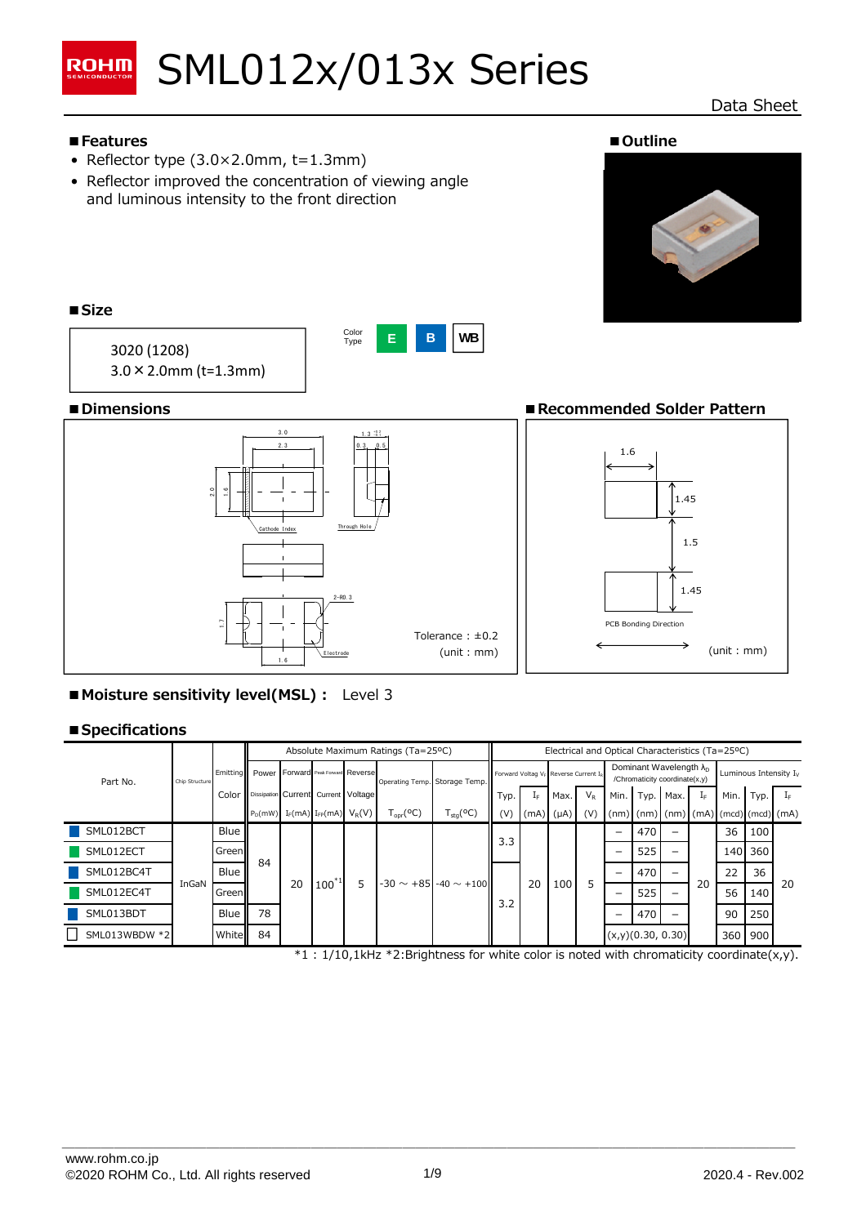## **ROHM**

# SML012x/013x Series

#### Data Sheet



**■Moisture sensitivity level(MSL) :** Level 3

#### **■Specifications**

|               |                |                   |                                     |    |                                    |          | Absolute Maximum Ratings (Ta=25°C) |                               | Electrical and Optical Characteristics (Ta=25°C) |    |                                                              |         |                                                                    |           |                   |     |                                        |     |    |
|---------------|----------------|-------------------|-------------------------------------|----|------------------------------------|----------|------------------------------------|-------------------------------|--------------------------------------------------|----|--------------------------------------------------------------|---------|--------------------------------------------------------------------|-----------|-------------------|-----|----------------------------------------|-----|----|
| Part No.      | Chip Structure | Emitting<br>Color |                                     |    | Power Forward Peak Forward Reverse |          |                                    | Operating Temp. Storage Temp. |                                                  |    | Forward Voltag V <sub>F</sub> Reverse Current I <sub>R</sub> |         | Dominant Wavelength $\lambda_{D}$<br>/Chromaticity coordinate(x,y) |           |                   |     | Luminous Intensity $I_V$               |     |    |
|               |                |                   | Dissipation Current Current Voltage |    |                                    |          |                                    |                               | Typ.                                             | ΙF | Max.                                                         | $V_{R}$ |                                                                    | Min. Typ. | Max.              | ΙF  | Min. Typ.                              |     |    |
|               |                |                   | $P_D$ (mW)                          |    | $I_F(mA)$ $I_{FP}(mA)$             | $V_R(V)$ | $T_{\text{oor}}({}^{0}C)$          | $T_{\text{stq}}$ (°C)         | (V)                                              |    | $(mA)$ $(\mu A)$                                             | (V)     |                                                                    |           |                   |     | $(nm)$ (nm) (nm) (mA) (mcd) (mcd) (mA) |     |    |
| SML012BCT     |                | Blue              | 84<br>78                            |    |                                    | 5        | $-30 \sim +85 - 40 \sim +100$      |                               | 3.3                                              |    |                                                              |         |                                                                    | 470       |                   |     | 36                                     | 100 |    |
| SML012ECT     |                | Green             |                                     | 20 | $100^{11}$                         |          |                                    |                               |                                                  |    |                                                              |         | 525                                                                |           |                   | 140 | 360                                    |     |    |
| SML012BC4T    |                | Blue              |                                     |    |                                    |          |                                    |                               | 3.2                                              | 20 |                                                              |         |                                                                    | 470       | -                 |     | 22                                     | 36  |    |
| SML012EC4T    | InGaN          | Green             |                                     |    |                                    |          |                                    |                               |                                                  |    | 100                                                          | 5       |                                                                    | 525       | -                 | 20  | 56                                     | 140 | 20 |
| SML013BDT     |                | Blue              |                                     |    |                                    |          |                                    |                               |                                                  |    |                                                              |         |                                                                    | 470       |                   |     | 90                                     | 250 |    |
| SML013WBDW *2 |                | White             | 84                                  |    |                                    |          |                                    |                               |                                                  |    |                                                              |         |                                                                    |           | (x,y)(0.30, 0.30) |     | 360                                    | 900 |    |

 $*1$  : 1/10,1kHz  $*2$ :Brightness for white color is noted with chromaticity coordinate(x,y).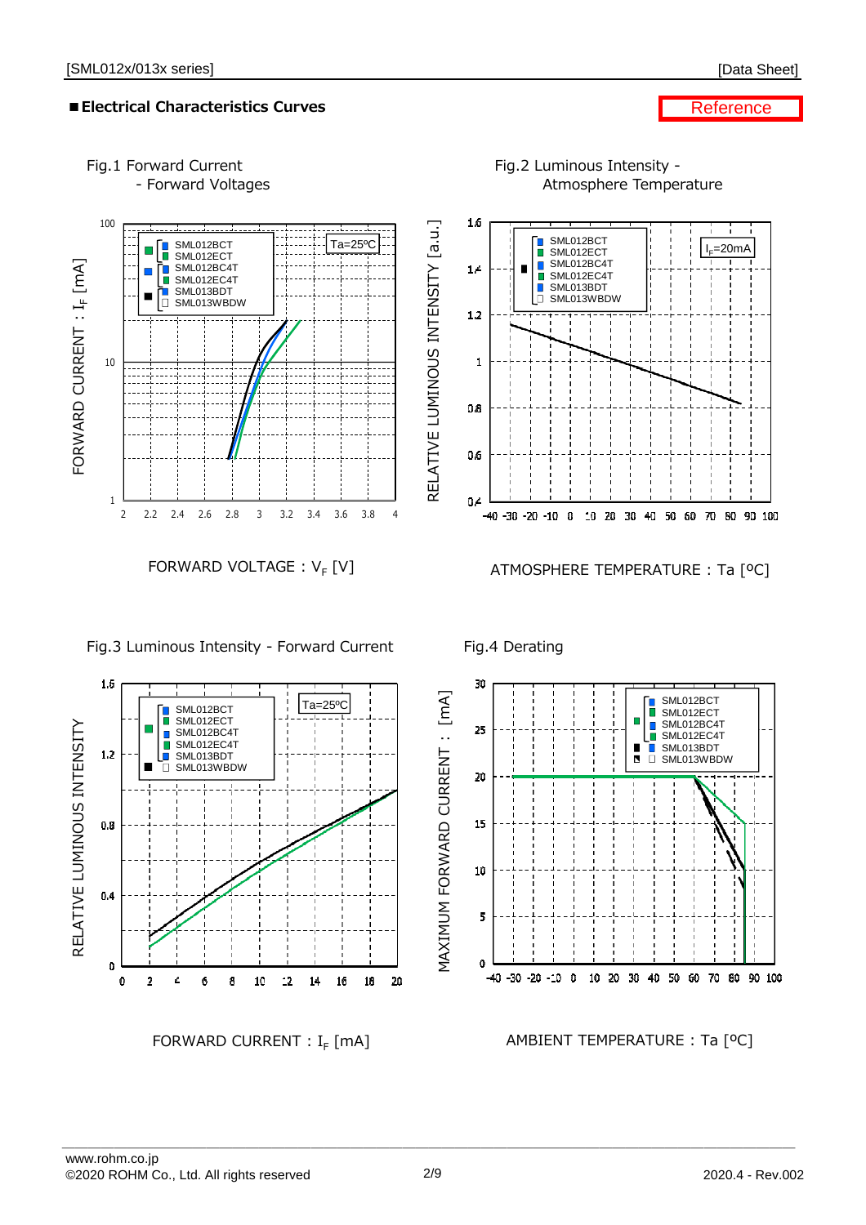#### **■Electrical Characteristics Curves**

#### **Reference**



#### Fig.3 Luminous Intensity - Forward Current Fig.4 Derating



 $\mathsf{FORWARD} \text{ \textsf{CURRENT}} : \mathbf{I}_\mathsf{F} \text{ \textsf{[mA]}}$ 

AMBIENT TEMPERATURE : Ta [ºC]

 www.rohm.co.jp ©2020 ROHM Co., Ltd. All rights reserved 2/9 2020.4 - Rev.002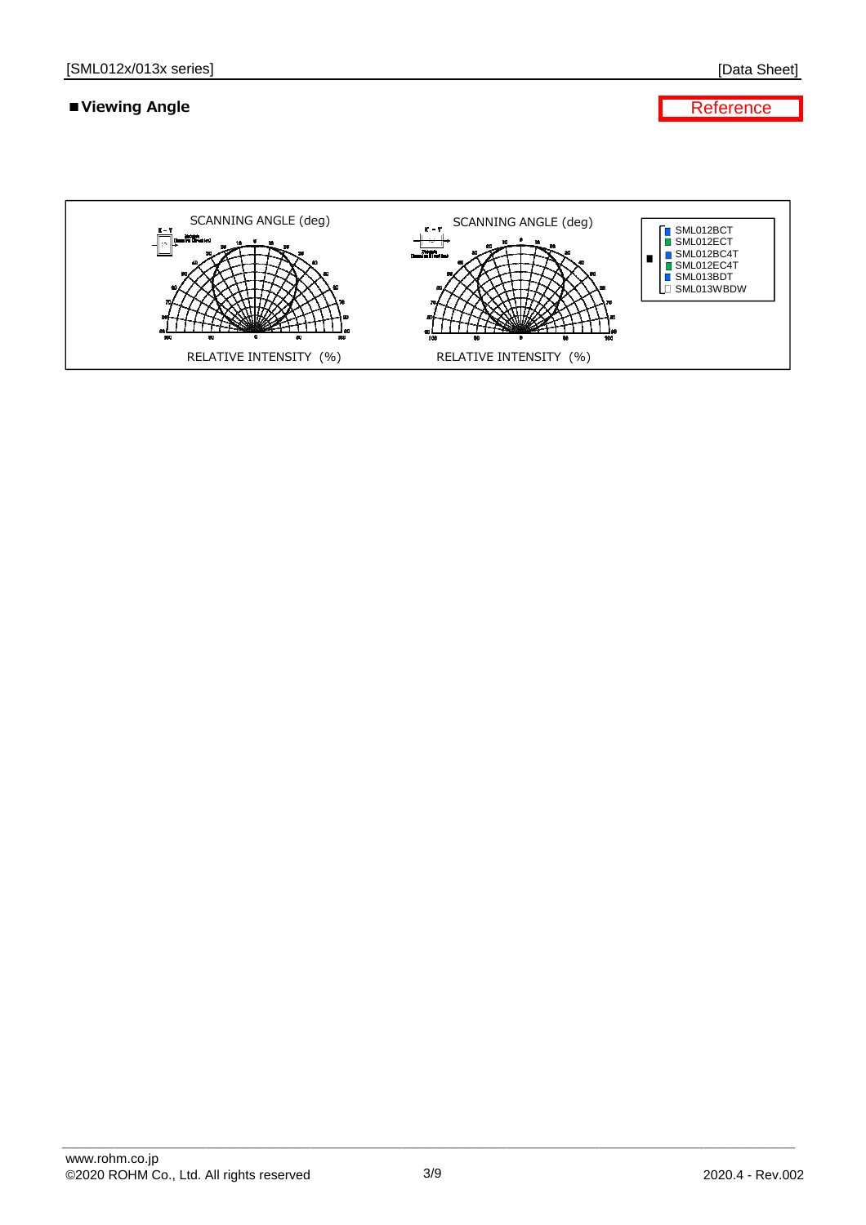#### **■Viewing Angle**

[Data Sheet]

**Reference** 

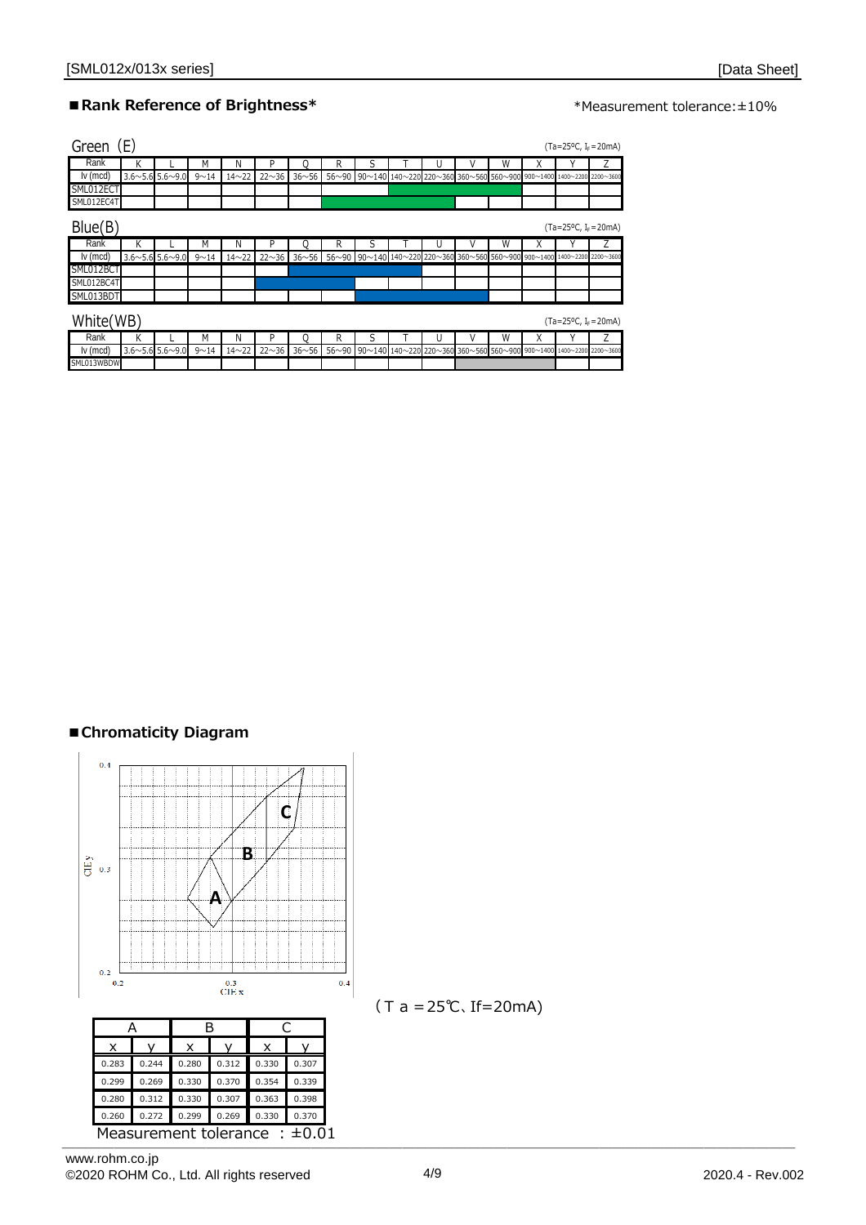#### **■Rank Reference of Brightness\***

#### \*Measurement tolerance:±10%

| Green (E)  |                            |          |              |              |              |   |   |   |   |   |   | $(Ta=25^{\circ}C, I_{F}=20^{\circ}m)$                                     |   |
|------------|----------------------------|----------|--------------|--------------|--------------|---|---|---|---|---|---|---------------------------------------------------------------------------|---|
| Rank       | Κ                          | M        | Ν            | P            |              | R | S | U | ν | W |   |                                                                           |   |
| lv (mcd)   | $3.6 \sim 5.65.6 \sim 9.0$ | $9 - 14$ | $14 \sim 22$ | $22 \sim 36$ | $36 \sim 56$ |   |   |   |   |   |   | 56~90 90~140 140~220 220~360 360~560 560~900 900~1400 1400~2200 2200~3600 |   |
| SML012ECT  |                            |          |              |              |              |   |   |   |   |   |   |                                                                           |   |
| SML012EC4T |                            |          |              |              |              |   |   |   |   |   |   |                                                                           |   |
| Blue(B)    |                            |          |              |              |              |   |   |   |   |   |   | $(Ta=25^{\circ}C, I_{F}=20^{\circ}m)$                                     |   |
| Rank       | К                          | M        | Ν            | P            |              | R | S | U | V | W | Χ |                                                                           | Ζ |
| lv (mcd)   | $3.6 \sim 5.65.6 \sim 9.0$ | $9 - 14$ | $14 \sim 22$ | $22 \sim 36$ | $36 \sim 56$ |   |   |   |   |   |   | 56~90 90~140 140~220 220~360 360~560 560~900 900~1400 1400~2200 2200~3600 |   |
| SML012BCT  |                            |          |              |              |              |   |   |   |   |   |   |                                                                           |   |
| SML012BC4T |                            |          |              |              |              |   |   |   |   |   |   |                                                                           |   |
| SML013BDT  |                            |          |              |              |              |   |   |   |   |   |   |                                                                           |   |
| White(WB)  |                            |          |              |              |              |   |   |   |   |   |   | $(Ta=25^{\circ}C, I_{F}=20mA)$                                            |   |
| Rank       | K                          | М        | Ν            | P            |              | R | S | U | V | W | Χ |                                                                           | Ζ |
| lv (mcd)   | $3.6 \sim 5.65.6 \sim 9.0$ | $9 - 14$ | $14 - 22$    | 22~36        | $36 \sim 56$ |   |   |   |   |   |   | 56~90 90~140 140~220 220~360 360~560 560~900 900~1400 1400~2200 2200~3600 |   |
| SML013WBDW |                            |          |              |              |              |   |   |   |   |   |   |                                                                           |   |

#### **■Chromaticity Diagram**

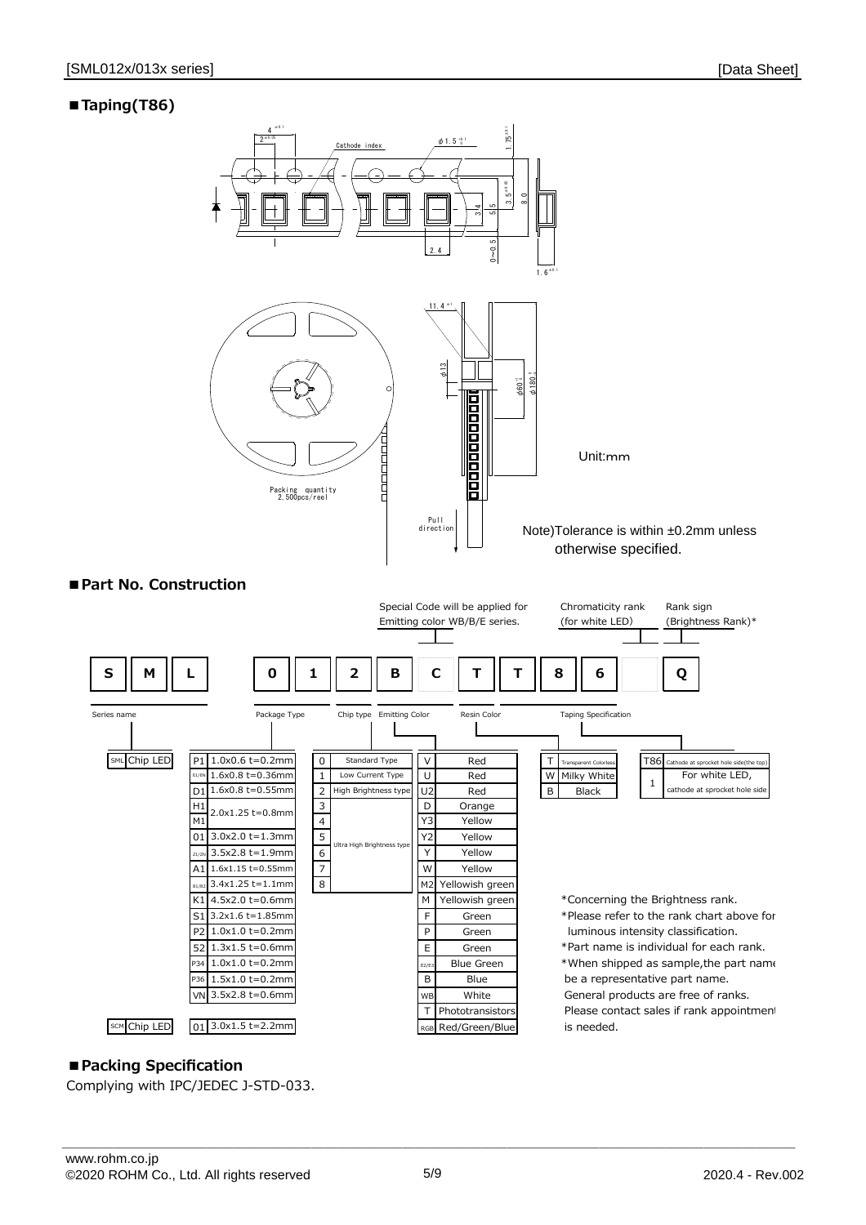#### **■Taping(T86)**



#### **■Packing Specification**

Complying with IPC/JEDEC J-STD-033.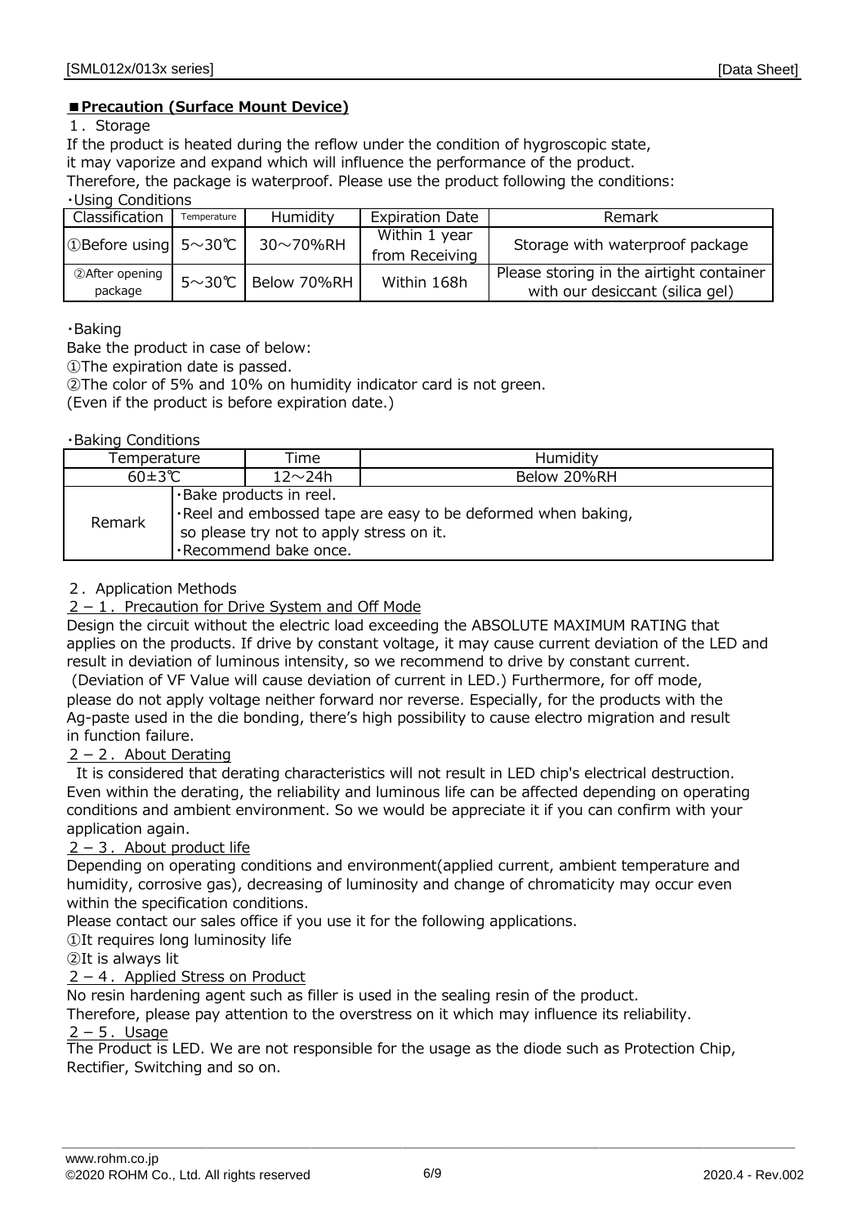#### **■Precaution (Surface Mount Device)**

#### 1. Storage

If the product is heated during the reflow under the condition of hygroscopic state,

it may vaporize and expand which will influence the performance of the product.

Therefore, the package is waterproof. Please use the product following the conditions:

・Using Conditions

| Classification      | Temperature  | Humidity       | <b>Expiration Date</b> | Remark                                   |
|---------------------|--------------|----------------|------------------------|------------------------------------------|
| ①Before using 5~30℃ |              | $30\sim$ 70%RH | Within 1 year          | Storage with waterproof package          |
|                     |              |                | from Receiving         |                                          |
| 2 After opening     | $5~\sim$ 30℃ | Below 70%RH    | Within 168h            | Please storing in the airtight container |
| package             |              |                |                        | with our desiccant (silica gel)          |

#### ・Baking

Bake the product in case of below:

①The expiration date is passed.

②The color of 5% and 10% on humidity indicator card is not green.

(Even if the product is before expiration date.)

#### ・Baking Conditions

| Temperature   |  | Time                                                                                         | Humidity                                                            |
|---------------|--|----------------------------------------------------------------------------------------------|---------------------------------------------------------------------|
| $60 \pm 3$ °C |  | $12 \sim 24h$                                                                                | Below 20%RH                                                         |
| Remark        |  | .Bake products in reel.<br>so please try not to apply stress on it.<br>·Recommend bake once. | $\cdot$ Reel and embossed tape are easy to be deformed when baking, |

#### 2.Application Methods

#### $2-1$ . Precaution for Drive System and Off Mode

Design the circuit without the electric load exceeding the ABSOLUTE MAXIMUM RATING that applies on the products. If drive by constant voltage, it may cause current deviation of the LED and result in deviation of luminous intensity, so we recommend to drive by constant current.

please do not apply voltage neither forward nor reverse. Especially, for the products with the Ag-paste used in the die bonding, there's high possibility to cause electro migration and result (Deviation of VF Value will cause deviation of current in LED.) Furthermore, for off mode, in function failure.

#### $2 - 2$ . About Derating

 It is considered that derating characteristics will not result in LED chip's electrical destruction. Even within the derating, the reliability and luminous life can be affected depending on operating conditions and ambient environment. So we would be appreciate it if you can confirm with your application again.

#### $2 - 3$ . About product life

Depending on operating conditions and environment(applied current, ambient temperature and humidity, corrosive gas), decreasing of luminosity and change of chromaticity may occur even within the specification conditions.

Please contact our sales office if you use it for the following applications.

①It requires long luminosity life

②It is always lit

#### $2 - 4$ . Applied Stress on Product

No resin hardening agent such as filler is used in the sealing resin of the product.

Therefore, please pay attention to the overstress on it which may influence its reliability.

#### $2-5$ . Usage

The Product is LED. We are not responsible for the usage as the diode such as Protection Chip, Rectifier, Switching and so on.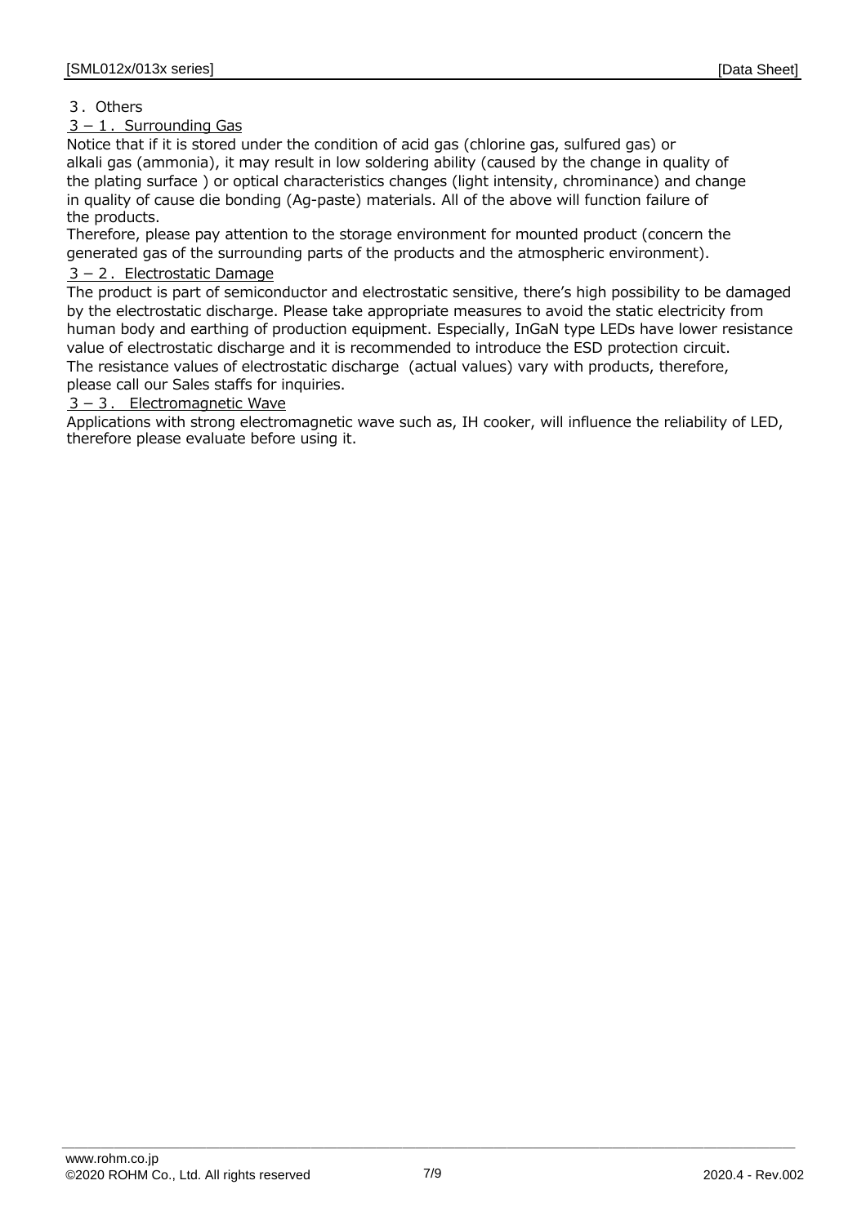#### 3.Others

#### $3-1$ . Surrounding Gas

Notice that if it is stored under the condition of acid gas (chlorine gas, sulfured gas) or alkali gas (ammonia), it may result in low soldering ability (caused by the change in quality of the plating surface ) or optical characteristics changes (light intensity, chrominance) and change in quality of cause die bonding (Ag-paste) materials. All of the above will function failure of the products.

Therefore, please pay attention to the storage environment for mounted product (concern the generated gas of the surrounding parts of the products and the atmospheric environment).

#### $3 - 2$ . Electrostatic Damage

The product is part of semiconductor and electrostatic sensitive, there's high possibility to be damaged by the electrostatic discharge. Please take appropriate measures to avoid the static electricity from human body and earthing of production equipment. Especially, InGaN type LEDs have lower resistance value of electrostatic discharge and it is recommended to introduce the ESD protection circuit. The resistance values of electrostatic discharge (actual values) vary with products, therefore, please call our Sales staffs for inquiries.

 $3 - 3$ . Electromagnetic Wave

Applications with strong electromagnetic wave such as, IH cooker, will influence the reliability of LED, therefore please evaluate before using it.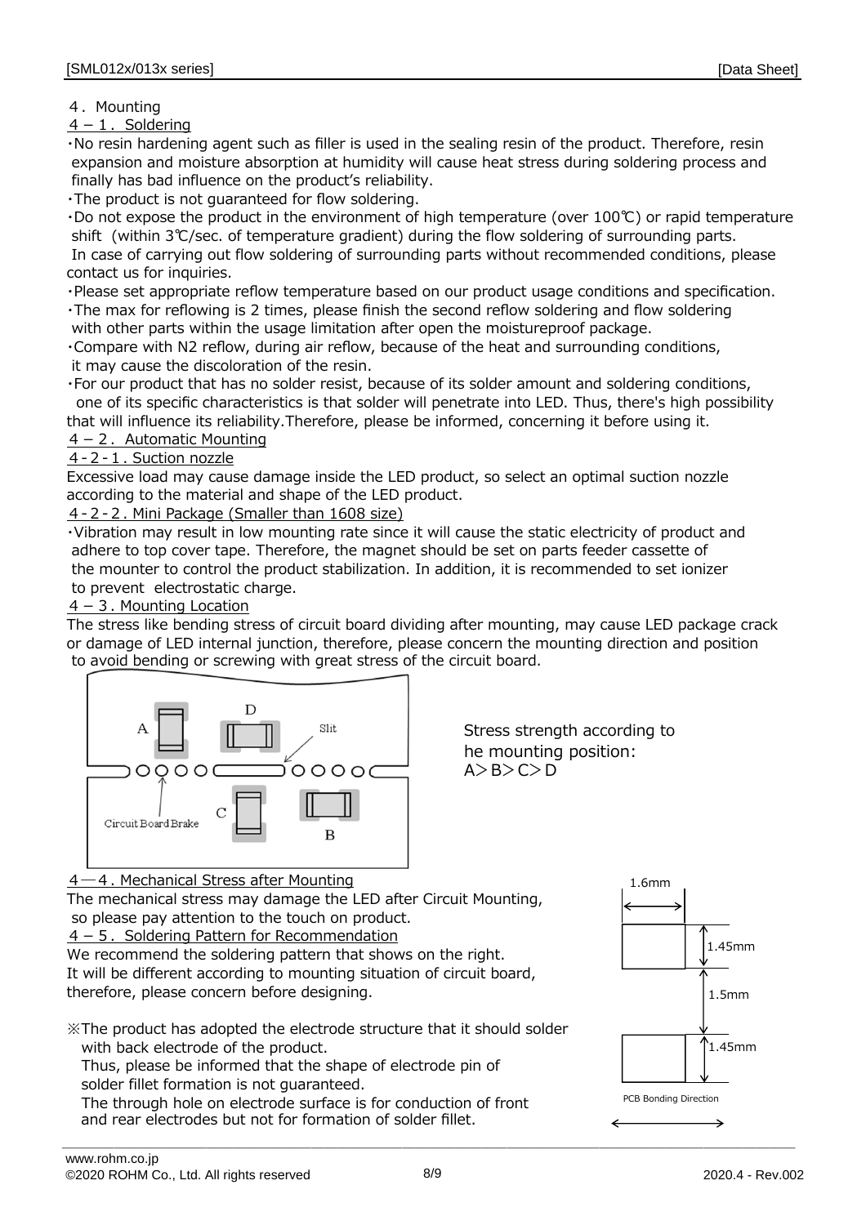#### 4. Mounting

 $4-1$ . Soldering

 expansion and moisture absorption at humidity will cause heat stress during soldering process and finally has bad influence on the product's reliability. ・No resin hardening agent such as filler is used in the sealing resin of the product. Therefore, resin

・The product is not guaranteed for flow soldering.

・Do not expose the product in the environment of high temperature (over 100℃) or rapid temperature In case of carrying out flow soldering of surrounding parts without recommended conditions, please contact us for inquiries. shift (within 3℃/sec. of temperature gradient) during the flow soldering of surrounding parts.

・Please set appropriate reflow temperature based on our product usage conditions and specification.

 with other parts within the usage limitation after open the moistureproof package. ・The max for reflowing is 2 times, please finish the second reflow soldering and flow soldering

・Compare with N2 reflow, during air reflow, because of the heat and surrounding conditions, it may cause the discoloration of the resin.

 one of its specific characteristics is that solder will penetrate into LED. Thus, there's high possibility that will influence its reliability.Therefore, please be informed, concerning it before using it. ・For our product that has no solder resist, because of its solder amount and soldering conditions,

#### 4-2. Automatic Mounting

#### 4-2-1. Suction nozzle

Excessive load may cause damage inside the LED product, so select an optimal suction nozzle according to the material and shape of the LED product.

4-2-2. Mini Package (Smaller than 1608 size)

 the mounter to control the product stabilization. In addition, it is recommended to set ionizer to prevent electrostatic charge. adhere to top cover tape. Therefore, the magnet should be set on parts feeder cassette of ・Vibration may result in low mounting rate since it will cause the static electricity of product and

#### $4-3$ . Mounting Location

 to avoid bending or screwing with great stress of the circuit board. The stress like bending stress of circuit board dividing after mounting, may cause LED package crack or damage of LED internal junction, therefore, please concern the mounting direction and position



Stress strength according to he mounting position: A>B>C>D

#### 4 – 4. Mechanical Stress after Mounting

 so please pay attention to the touch on product. The mechanical stress may damage the LED after Circuit Mounting,

4 - 5. Soldering Pattern for Recommendation

We recommend the soldering pattern that shows on the right. It will be different according to mounting situation of circuit board, therefore, please concern before designing.

※The product has adopted the electrode structure that it should solder with back electrode of the product.

Thus, please be informed that the shape of electrode pin of solder fillet formation is not guaranteed.

The through hole on electrode surface is for conduction of front and rear electrodes but not for formation of solder fillet.

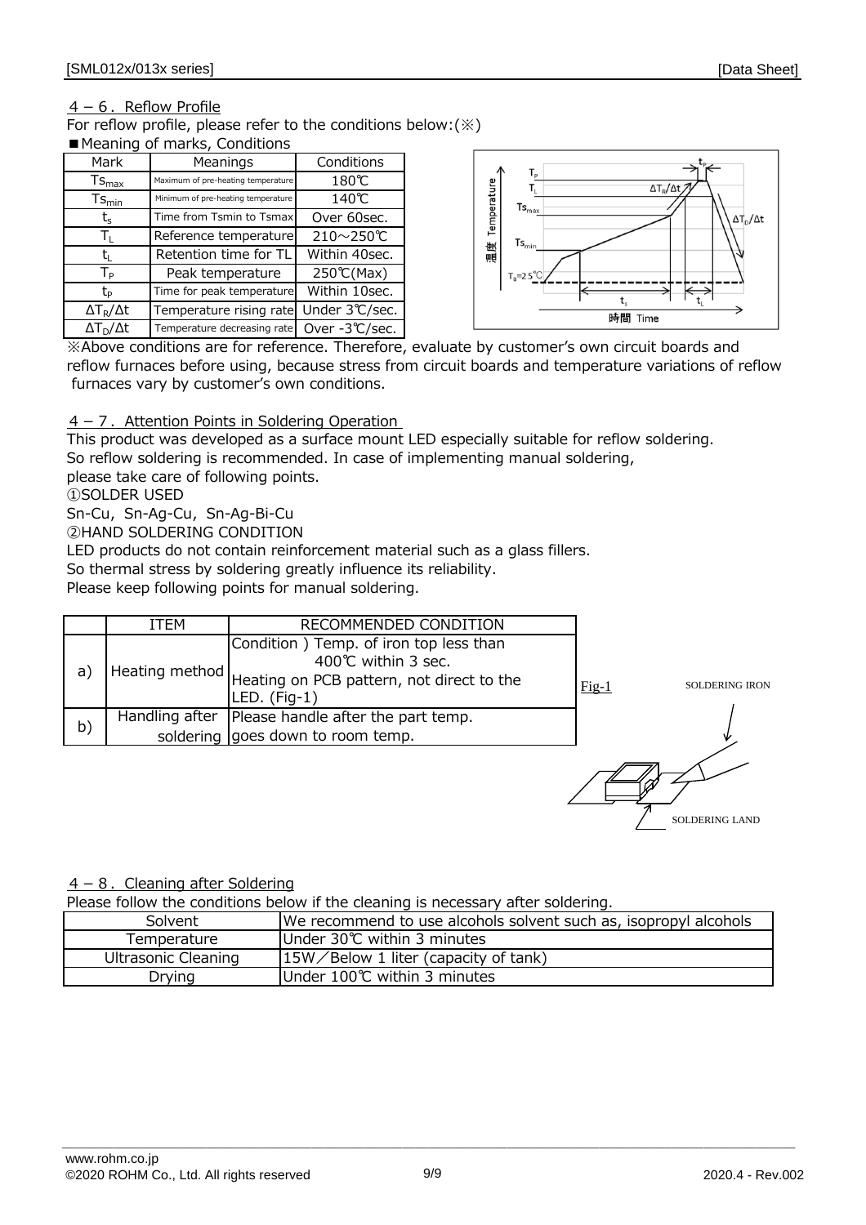#### $4-6$ . Reflow Profile

For reflow profile, please refer to the conditions below:(※) ■ Meaning of marks, Conditions

| Mark                    | Meanings                           | Conditions    |  |  |  |  |  |  |
|-------------------------|------------------------------------|---------------|--|--|--|--|--|--|
| $Ts_{\text{max}}$       | Maximum of pre-heating temperature | 180℃          |  |  |  |  |  |  |
| $Ts_{\text{min}}$       | Minimum of pre-heating temperature | 140℃          |  |  |  |  |  |  |
| $\mathsf{t}_\mathsf{c}$ | Time from Tsmin to Tsmax           | Over 60sec.   |  |  |  |  |  |  |
| Tī.                     | Reference temperature              | 210~250℃      |  |  |  |  |  |  |
| tı.                     | Retention time for TL              | Within 40sec. |  |  |  |  |  |  |
| $T_{\sf P}$             | Peak temperature                   | 250℃(Max)     |  |  |  |  |  |  |
| tь                      | Time for peak temperature          | Within 10sec. |  |  |  |  |  |  |
| $\Delta T_R/\Delta t$   | Temperature rising rate            | Under 3℃/sec. |  |  |  |  |  |  |
| $\Delta T_D / \Delta t$ | Temperature decreasing rate        | Over -3℃/sec. |  |  |  |  |  |  |



 furnaces vary by customer's own conditions. ※Above conditions are for reference. Therefore, evaluate by customer's own circuit boards and reflow furnaces before using, because stress from circuit boards and temperature variations of reflow

#### $4 - 7$ . Attention Points in Soldering Operation

This product was developed as a surface mount LED especially suitable for reflow soldering. So reflow soldering is recommended. In case of implementing manual soldering,

please take care of following points.

①SOLDER USED

Sn-Cu, Sn-Ag-Cu, Sn-Ag-Bi-Cu

②HAND SOLDERING CONDITION

So thermal stress by soldering greatly influence its reliability. LED products do not contain reinforcement material such as a glass fillers.

Please keep following points for manual soldering.

|    | ITEM | RECOMMENDED CONDITION                                                                                                                      |                           |
|----|------|--------------------------------------------------------------------------------------------------------------------------------------------|---------------------------|
| a) |      | Condition) Temp. of iron top less than<br>400℃ within 3 sec.<br> Heating method  Heating on PCB pattern, not direct to the<br>LED. (Fig-1) | SOLDERING IRON<br>$Fig-1$ |
| b) |      | Handling after   Please handle after the part temp.                                                                                        |                           |
|    |      | soldering goes down to room temp.                                                                                                          |                           |
|    |      |                                                                                                                                            |                           |

#### $4-8$ . Cleaning after Soldering

Please follow the conditions below if the cleaning is necessary after soldering.

| Solvent             | We recommend to use alcohols solvent such as, isopropyl alcohols |
|---------------------|------------------------------------------------------------------|
| Temperature         | lUnder 30℃ within 3 minutes                                      |
| Ultrasonic Cleaning | $15W/$ Below 1 liter (capacity of tank)                          |
| Drying              | Under 100℃ within 3 minutes                                      |

SOLDERING LAND